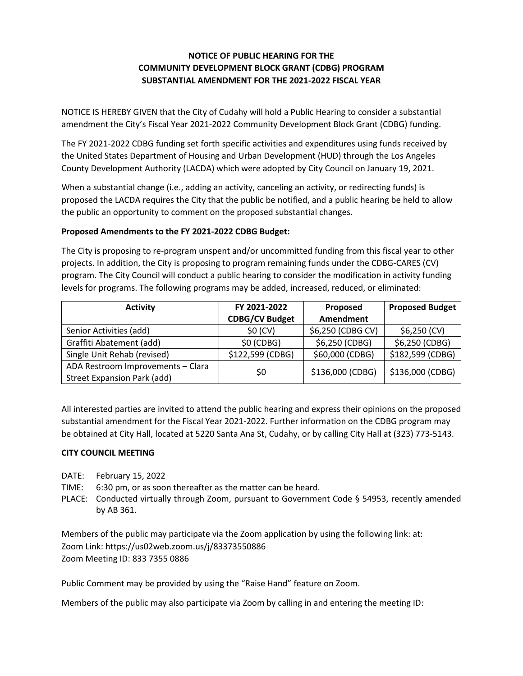## **NOTICE OF PUBLIC HEARING FOR THE COMMUNITY DEVELOPMENT BLOCK GRANT (CDBG) PROGRAM SUBSTANTIAL AMENDMENT FOR THE 2021-2022 FISCAL YEAR**

NOTICE IS HEREBY GIVEN that the City of Cudahy will hold a Public Hearing to consider a substantial amendment the City's Fiscal Year 2021-2022 Community Development Block Grant (CDBG) funding.

The FY 2021-2022 CDBG funding set forth specific activities and expenditures using funds received by the United States Department of Housing and Urban Development (HUD) through the Los Angeles County Development Authority (LACDA) which were adopted by City Council on January 19, 2021.

When a substantial change (i.e., adding an activity, canceling an activity, or redirecting funds) is proposed the LACDA requires the City that the public be notified, and a public hearing be held to allow the public an opportunity to comment on the proposed substantial changes.

## **Proposed Amendments to the FY 2021-2022 CDBG Budget:**

The City is proposing to re-program unspent and/or uncommitted funding from this fiscal year to other projects. In addition, the City is proposing to program remaining funds under the CDBG-CARES (CV) program. The City Council will conduct a public hearing to consider the modification in activity funding levels for programs. The following programs may be added, increased, reduced, or eliminated:

| <b>Activity</b>                                                         | FY 2021-2022          | Proposed          | <b>Proposed Budget</b> |
|-------------------------------------------------------------------------|-----------------------|-------------------|------------------------|
|                                                                         | <b>CDBG/CV Budget</b> | <b>Amendment</b>  |                        |
| Senior Activities (add)                                                 | \$0 (CV)              | \$6,250 (CDBG CV) | $$6,250$ (CV)          |
| Graffiti Abatement (add)                                                | $$0$ (CDBG)           | \$6,250 (CDBG)    | \$6,250 (CDBG)         |
| Single Unit Rehab (revised)                                             | \$122,599 (CDBG)      | \$60,000 (CDBG)   | \$182,599 (CDBG)       |
| ADA Restroom Improvements - Clara<br><b>Street Expansion Park (add)</b> | \$0                   | \$136,000 (CDBG)  | \$136,000 (CDBG)       |

All interested parties are invited to attend the public hearing and express their opinions on the proposed substantial amendment for the Fiscal Year 2021-2022. Further information on the CDBG program may be obtained at City Hall, located at 5220 Santa Ana St, Cudahy, or by calling City Hall at (323) 773-5143.

## **CITY COUNCIL MEETING**

DATE: February 15, 2022

TIME: 6:30 pm, or as soon thereafter as the matter can be heard.

PLACE: Conducted virtually through Zoom, pursuant to Government Code § 54953, recently amended by AB 361.

Members of the public may participate via the Zoom application by using the following link: at: Zoom Link: https://us02web.zoom.us/j/83373550886 Zoom Meeting ID: 833 7355 0886

Public Comment may be provided by using the "Raise Hand" feature on Zoom.

Members of the public may also participate via Zoom by calling in and entering the meeting ID: